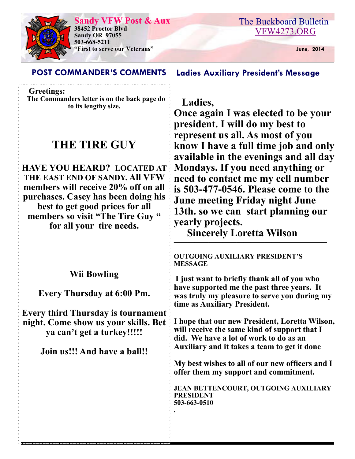### **Sandy VFW Post & Aux**



**38452 Proctor Blvd Sandy OR 97055 503-668-5211 "First to serve our Veterans" June, 2014** 

## **POST COMMANDER'S COMMENTS Ladies Auxiliary President's Message**

 **Greetings:**

**The Commanders letter is on the back page do to its lengthy size.** 

# **THE TIRE GUY**

**HAVE YOU HEARD? LOCATED AT THE EAST END OF SANDY. All VFW members will receive 20% off on all purchases. Casey has been doing his best to get good prices for all members so visit "The Tire Guy " for all your tire needs.** 

 **Ladies, Once again I was elected to be your president. I will do my best to represent us all. As most of you know I have a full time job and only available in the evenings and all day Mondays. If you need anything or need to contact me my cell number is 503-477-0546. Please come to the June meeting Friday night June 13th. so we can start planning our yearly projects.** 

 **Sincerely Loretta Wilson ——————————————————————**

**OUTGOING AUXILIARY PRESIDENT'S MESSAGE I just want to briefly thank all of you who have supported me the past three years. It was truly my pleasure to serve you during my time as Auxiliary President. I hope that our new President, Loretta Wilson, will receive the same kind of support that I did. We have a lot of work to do as an Auxiliary and it takes a team to get it done My best wishes to all of our new officers and I offer them my support and commitment. JEAN BETTENCOURT, OUTGOING AUXILIARY PRESIDENT 503-663-0510 . Wii Bowling Every Thursday at 6:00 Pm. Every third Thursday is tournament night. Come show us your skills. Bet ya can't get a turkey!!!!! Join us!!! And have a ball!!**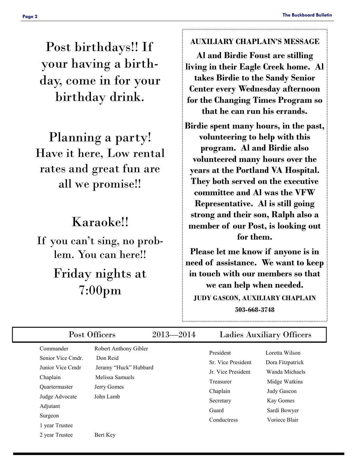Post birthdays!! If your having a birthday, come in for your birthday drink.

Planning a party! Have it here, Low rental rates and great fun are all we promise!!

# Karaoke!!

If you can't sing, no problem. You can here!! Friday nights at 7:00pm

#### **AUXILIARY CHAPLAIN'S MESSAGE**

**Al and Birdie Foust are stilling living in their Eagle Creek home. Al takes Birdie to the Sandy Senior Center every Wednesday afternoon for the Changing Times Program so that he can run his errands.** 

**Birdie spent many hours, in the past, volunteering to help with this program. Al and Birdie also volunteered many hours over the years at the Portland VA Hospital. They both served on the executive committee and Al was the VFW Representative. Al is still going strong and their son, Ralph also a member of our Post, is looking out for them.** 

**Please let me know if anyone is in need of assistance. We want to keep in touch with our members so that we can help when needed. JUDY GASCON, AUXILIARY CHAPLAIN 503-668-3748** 

| Post Officers                                                                                                                                     |                                                                                                           | $2013 - 2014$ | <b>Ladies Auxiliary Officers</b>                                                                                    |                                                                                                                                    |  |
|---------------------------------------------------------------------------------------------------------------------------------------------------|-----------------------------------------------------------------------------------------------------------|---------------|---------------------------------------------------------------------------------------------------------------------|------------------------------------------------------------------------------------------------------------------------------------|--|
| Commander<br>Senior Vice Cmdr.<br>Junior Vice Cmdr<br>Chaplain<br><b>Ouartermaster</b><br>Judge Advocate<br>Adjutant<br>Surgeon<br>1 year Trustee | Robert Anthony Gibler<br>Don Reid<br>Jeramy "Huck" Hubbard<br>Melissa Samuels<br>Jerry Gomes<br>John Lamb |               | President<br>Sr. Vice President<br>Jr. Vice President<br>Treasurer<br>Chaplain<br>Secretary<br>Guard<br>Conductress | Loretta Wilson<br>Dora Fitzpatrick<br>Wanda Michaels<br>Midge Watkins<br>Judy Gascon<br>Kay Gomes<br>Sardi Bowyer<br>Voriece Blair |  |
| 2 year Trustee                                                                                                                                    | Bert Key                                                                                                  |               |                                                                                                                     |                                                                                                                                    |  |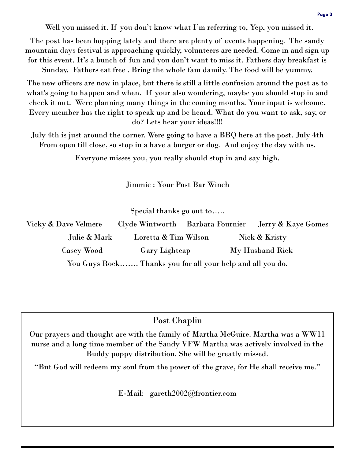Well you missed it. If you don't know what I'm referring to, Yep, you missed it.

The post has been hopping lately and there are plenty of events happening. The sandy mountain days festival is approaching quickly, volunteers are needed. Come in and sign up for this event. It's a bunch of fun and you don't want to miss it. Fathers day breakfast is Sunday. Fathers eat free . Bring the whole fam damily. The food will be yummy.

The new officers are now in place, but there is still a little confusion around the post as to what's going to happen and when. If your also wondering, maybe you should stop in and check it out. Were planning many things in the coming months. Your input is welcome. Every member has the right to speak up and be heard. What do you want to ask, say, or do? Lets hear your ideas!!!!

July 4th is just around the corner. Were going to have a BBQ here at the post. July 4th From open till close, so stop in a have a burger or dog. And enjoy the day with us.

Everyone misses you, you really should stop in and say high.

Jimmie : Your Post Bar Winch

Special thanks go out to…..

| Vicky & Dave Velmere |                                                            |  | Clyde Wintworth Barbara Fournier Jerry & Kaye Gomes |
|----------------------|------------------------------------------------------------|--|-----------------------------------------------------|
| Julie & Mark         | Loretta & Tim Wilson                                       |  | Nick & Kristy                                       |
| Casey Wood           | <b>Gary Lightcap</b>                                       |  | My Husband Rick                                     |
|                      | You Guys Rock Thanks you for all your help and all you do. |  |                                                     |

### Post Chaplin

Our prayers and thought are with the family of Martha McGuire. Martha was a WW11 nurse and a long time member of the Sandy VFW Martha was actively involved in the Buddy poppy distribution. She will be greatly missed.

"But God will redeem my soul from the power of the grave, for He shall receive me."

E-Mail: gareth2002@frontier.com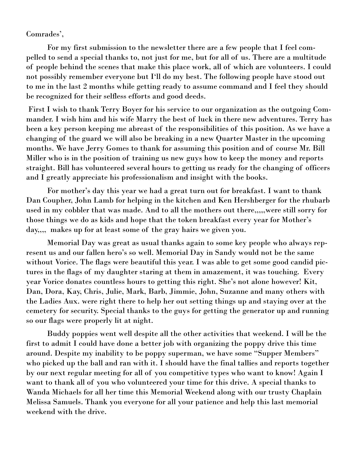Comrades',

 For my first submission to the newsletter there are a few people that I feel compelled to send a special thanks to, not just for me, but for all of us. There are a multitude of people behind the scenes that make this place work, all of which are volunteers. I could not possibly remember everyone but I'll do my best. The following people have stood out to me in the last 2 months while getting ready to assume command and I feel they should be recognized for their selfless efforts and good deeds.

 First I wish to thank Terry Boyer for his service to our organization as the outgoing Commander. I wish him and his wife Marry the best of luck in there new adventures. Terry has been a key person keeping me abreast of the responsibilities of this position. As we have a changing of the guard we will also be breaking in a new Quarter Master in the upcoming months. We have Jerry Gomes to thank for assuming this position and of course Mr. Bill Miller who is in the position of training us new guys how to keep the money and reports straight. Bill has volunteered several hours to getting us ready for the changing of officers and I greatly appreciate his professionalism and insight with the books.

For mother's day this year we had a great turn out for breakfast. I want to thank Dan Coupher, John Lamb for helping in the kitchen and Ken Hershberger for the rhubarb used in my cobbler that was made. And to all the mothers out there,,,,,were still sorry for those things we do as kids and hope that the token breakfast every year for Mother's day,,,, makes up for at least some of the gray hairs we given you.

 Memorial Day was great as usual thanks again to some key people who always represent us and our fallen hero's so well. Memorial Day in Sandy would not be the same without Vorice. The flags were beautiful this year. I was able to get some good candid pictures in the flags of my daughter staring at them in amazement, it was touching. Every year Vorice donates countless hours to getting this right. She's not alone however! Kit, Dan, Dora, Kay, Chris, Julie, Mark, Barb, Jimmie, John, Suzanne and many others with the Ladies Aux. were right there to help her out setting things up and staying over at the cemetery for security. Special thanks to the guys for getting the generator up and running so our flags were properly lit at night.

 Buddy poppies went well despite all the other activities that weekend. I will be the first to admit I could have done a better job with organizing the poppy drive this time around. Despite my inability to be poppy superman, we have some "Supper Members" who picked up the ball and ran with it. I should have the final tallies and reports together by our next regular meeting for all of you competitive types who want to know! Again I want to thank all of you who volunteered your time for this drive. A special thanks to Wanda Michaels for all her time this Memorial Weekend along with our trusty Chaplain Melissa Samuels. Thank you everyone for all your patience and help this last memorial weekend with the drive.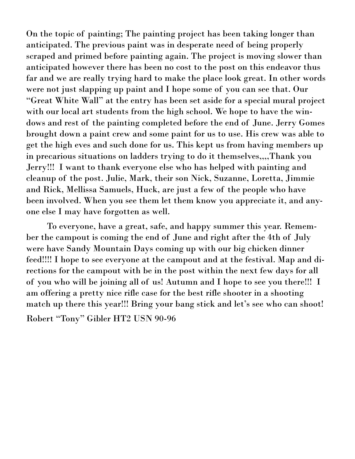On the topic of painting; The painting project has been taking longer than anticipated. The previous paint was in desperate need of being properly scraped and primed before painting again. The project is moving slower than anticipated however there has been no cost to the post on this endeavor thus far and we are really trying hard to make the place look great. In other words were not just slapping up paint and I hope some of you can see that. Our "Great White Wall" at the entry has been set aside for a special mural project with our local art students from the high school. We hope to have the windows and rest of the painting completed before the end of June. Jerry Gomes brought down a paint crew and some paint for us to use. His crew was able to get the high eves and such done for us. This kept us from having members up in precarious situations on ladders trying to do it themselves,,,,Thank you Jerry!!! I want to thank everyone else who has helped with painting and cleanup of the post. Julie, Mark, their son Nick, Suzanne, Loretta, Jimmie and Rick, Mellissa Samuels, Huck, are just a few of the people who have been involved. When you see them let them know you appreciate it, and anyone else I may have forgotten as well.

 To everyone, have a great, safe, and happy summer this year. Remember the campout is coming the end of June and right after the 4th of July were have Sandy Mountain Days coming up with our big chicken dinner feed!!!! I hope to see everyone at the campout and at the festival. Map and directions for the campout with be in the post within the next few days for all of you who will be joining all of us! Autumn and I hope to see you there!!! I am offering a pretty nice rifle case for the best rifle shooter in a shooting match up there this year!!! Bring your bang stick and let's see who can shoot! Robert "Tony" Gibler HT2 USN 90-96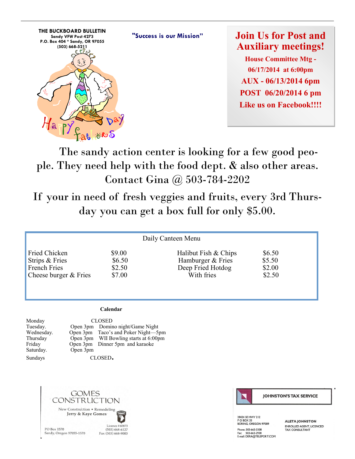

**Join Us for Post and Auxiliary meetings!**

**House Committee Mtg - 06/17/2014 at 6:00pm AUX - 06/13/2014 6pm POST 06/20/2014 6 pm Like us on Facebook!!!!**

 The sandy action center is looking for a few good people. They need help with the food dept. & also other areas. Contact Gina @ 503-784-2202

If your in need of fresh veggies and fruits, every 3rd Thursday you can get a box full for only \$5.00.

| Daily Canteen Menu    |        |                      |        |  |  |  |
|-----------------------|--------|----------------------|--------|--|--|--|
| Fried Chicken         | \$9.00 | Halibut Fish & Chips | \$6.50 |  |  |  |
| Strips & Fries        | \$6.50 | Hamburger & Fries    | \$5.50 |  |  |  |
| French Fries          | \$2.50 | Deep Fried Hotdog    | \$2.00 |  |  |  |
| Cheese burger & Fries | \$7.00 | With fries           | \$2.50 |  |  |  |

#### **Calendar**

Monday CLOSED Saturday. Open 3pm

Tuesday. Open 3pm Domino night/Game Night<br>Wednesday. Open 3pm Taco's and Poker Night—5 Open 3pm Taco's and Poker Night—5pm Thursday Open 3pm WII Bowling starts at 6:00pm Open 3pm Dinner 5pm and karaoke

Sundays CLOSED**.** 





**JOHNSTON'S TAX SERVICE** 

28424 SE HWY 212 PO BOX 33<br>BORING, OREGON 97009 Phone: 503-663-3308 Fight. 563-663-2936<br>Fax: 503-663-2938<br>E-mail: DERA@TELEPORT.COM

**ALETA JOHNSTON** ENROLLED AGENT LICENCED TAX CONSULTANT